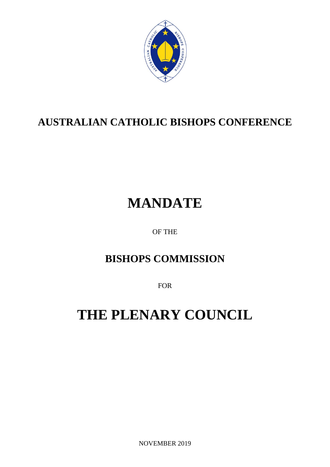

## **AUSTRALIAN CATHOLIC BISHOPS CONFERENCE**

# **MANDATE**

OF THE

## **BISHOPS COMMISSION**

FOR

# **THE PLENARY COUNCIL**

NOVEMBER 2019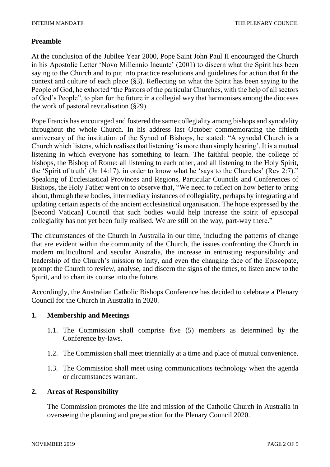#### **Preamble**

At the conclusion of the Jubilee Year 2000, Pope Saint John Paul II encouraged the Church in his Apostolic Letter 'Novo Millennio Ineunte' (2001) to discern what the Spirit has been saying to the Church and to put into practice resolutions and guidelines for action that fit the context and culture of each place (§3). Reflecting on what the Spirit has been saying to the People of God, he exhorted "the Pastors of the particular Churches, with the help of all sectors of God's People", to plan for the future in a collegial way that harmonises among the dioceses the work of pastoral revitalisation (§29).

Pope Francis has encouraged and fostered the same collegiality among bishops and synodality throughout the whole Church. In his address last October commemorating the fiftieth anniversary of the institution of the Synod of Bishops, he stated: "A synodal Church is a Church which listens, which realises that listening 'is more than simply hearing'. It is a mutual listening in which everyone has something to learn. The faithful people, the college of bishops, the Bishop of Rome: all listening to each other, and all listening to the Holy Spirit, the 'Spirit of truth' (Jn 14:17), in order to know what he 'says to the Churches' (Rev 2:7)." Speaking of Ecclesiastical Provinces and Regions, Particular Councils and Conferences of Bishops, the Holy Father went on to observe that, "We need to reflect on how better to bring about, through these bodies, intermediary instances of collegiality, perhaps by integrating and updating certain aspects of the ancient ecclesiastical organisation. The hope expressed by the [Second Vatican] Council that such bodies would help increase the spirit of episcopal collegiality has not yet been fully realised. We are still on the way, part-way there."

The circumstances of the Church in Australia in our time, including the patterns of change that are evident within the community of the Church, the issues confronting the Church in modern multicultural and secular Australia, the increase in entrusting responsibility and leadership of the Church's mission to laity, and even the changing face of the Episcopate, prompt the Church to review, analyse, and discern the signs of the times, to listen anew to the Spirit, and to chart its course into the future.

Accordingly, the Australian Catholic Bishops Conference has decided to celebrate a Plenary Council for the Church in Australia in 2020.

#### **1. Membership and Meetings**

- 1.1. The Commission shall comprise five (5) members as determined by the Conference by-laws.
- 1.2. The Commission shall meet triennially at a time and place of mutual convenience.
- 1.3. The Commission shall meet using communications technology when the agenda or circumstances warrant.

#### **2. Areas of Responsibility**

The Commission promotes the life and mission of the Catholic Church in Australia in overseeing the planning and preparation for the Plenary Council 2020.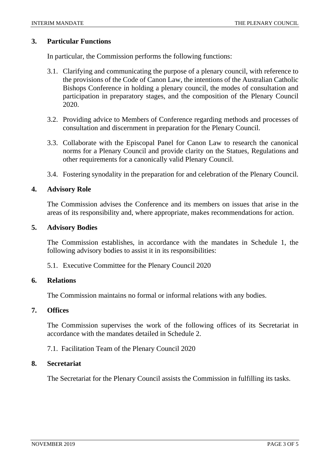#### **3. Particular Functions**

In particular, the Commission performs the following functions:

- 3.1. Clarifying and communicating the purpose of a plenary council, with reference to the provisions of the Code of Canon Law, the intentions of the Australian Catholic Bishops Conference in holding a plenary council, the modes of consultation and participation in preparatory stages, and the composition of the Plenary Council 2020.
- 3.2. Providing advice to Members of Conference regarding methods and processes of consultation and discernment in preparation for the Plenary Council.
- 3.3. Collaborate with the Episcopal Panel for Canon Law to research the canonical norms for a Plenary Council and provide clarity on the Statues, Regulations and other requirements for a canonically valid Plenary Council.
- 3.4. Fostering synodality in the preparation for and celebration of the Plenary Council.

#### **4. Advisory Role**

The Commission advises the Conference and its members on issues that arise in the areas of its responsibility and, where appropriate, makes recommendations for action.

#### **5. Advisory Bodies**

The Commission establishes, in accordance with the mandates in Schedule 1, the following advisory bodies to assist it in its responsibilities:

5.1. Executive Committee for the Plenary Council 2020

#### **6. Relations**

The Commission maintains no formal or informal relations with any bodies.

#### **7. Offices**

The Commission supervises the work of the following offices of its Secretariat in accordance with the mandates detailed in Schedule 2.

#### 7.1. Facilitation Team of the Plenary Council 2020

#### **8. Secretariat**

The Secretariat for the Plenary Council assists the Commission in fulfilling its tasks.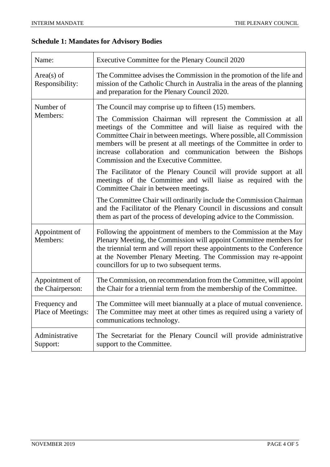### **Schedule 1: Mandates for Advisory Bodies**

| Name:                               | Executive Committee for the Plenary Council 2020                                                                                                                                                                                                                                                                                                                                                                                                 |
|-------------------------------------|--------------------------------------------------------------------------------------------------------------------------------------------------------------------------------------------------------------------------------------------------------------------------------------------------------------------------------------------------------------------------------------------------------------------------------------------------|
| $Area(s)$ of<br>Responsibility:     | The Committee advises the Commission in the promotion of the life and<br>mission of the Catholic Church in Australia in the areas of the planning<br>and preparation for the Plenary Council 2020.                                                                                                                                                                                                                                               |
| Number of<br>Members:               | The Council may comprise up to fifteen (15) members.<br>The Commission Chairman will represent the Commission at all<br>meetings of the Committee and will liaise as required with the<br>Committee Chair in between meetings. Where possible, all Commission<br>members will be present at all meetings of the Committee in order to<br>increase collaboration and communication between the Bishops<br>Commission and the Executive Committee. |
|                                     | The Facilitator of the Plenary Council will provide support at all<br>meetings of the Committee and will liaise as required with the<br>Committee Chair in between meetings.<br>The Committee Chair will ordinarily include the Commission Chairman                                                                                                                                                                                              |
|                                     | and the Facilitator of the Plenary Council in discussions and consult<br>them as part of the process of developing advice to the Commission.                                                                                                                                                                                                                                                                                                     |
| Appointment of<br>Members:          | Following the appointment of members to the Commission at the May<br>Plenary Meeting, the Commission will appoint Committee members for<br>the triennial term and will report these appointments to the Conference<br>at the November Plenary Meeting. The Commission may re-appoint<br>councillors for up to two subsequent terms.                                                                                                              |
| Appointment of<br>the Chairperson:  | The Commission, on recommendation from the Committee, will appoint<br>the Chair for a triennial term from the membership of the Committee.                                                                                                                                                                                                                                                                                                       |
| Frequency and<br>Place of Meetings: | The Committee will meet biannually at a place of mutual convenience.<br>The Committee may meet at other times as required using a variety of<br>communications technology.                                                                                                                                                                                                                                                                       |
| Administrative<br>Support:          | The Secretariat for the Plenary Council will provide administrative<br>support to the Committee.                                                                                                                                                                                                                                                                                                                                                 |